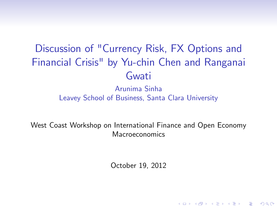# Discussion of "Currency Risk, FX Options and Financial Crisis" by Yu-chin Chen and Ranganai Gwati

Arunima Sinha Leavey School of Business, Santa Clara University

<span id="page-0-0"></span>West Coast Workshop on International Finance and Open Economy Macroeconomics

October 19, 2012

**KORKA SERKER ORA**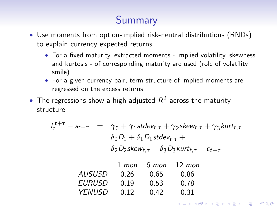# **Summary**

- Use moments from option-implied risk-neutral distributions (RNDs) to explain currency expected returns
	- For a fixed maturity, extracted moments implied volatility, skewness and kurtosis - of corresponding maturity are used (role of volatility smile)
	- For a given currency pair, term structure of implied moments are regressed on the excess returns
- $\bullet$  The regressions show a high adjusted  $R^2$  across the maturity structure

$$
f_t^{t+\tau} - s_{t+\tau} = \gamma_0 + \gamma_1 stdev_{t,\tau} + \gamma_2 skew_{t,\tau} + \gamma_3 kurt_{t,\tau}
$$
  

$$
\delta_0 D_1 + \delta_1 D_1 stdev_{t,\tau} +
$$
  

$$
\delta_2 D_2 skew_{t,\tau} + \delta_3 D_3 kurt_{t,\tau} + \varepsilon_{t+\tau}
$$

|               | $1$ mon | 6 mon | $12 \;$ mon |
|---------------|---------|-------|-------------|
| <b>AUSUSD</b> | 0.26    | 0.65  | 0.86        |
| <b>EURUSD</b> | 0.19    | 0.53  | 0.78        |
| <b>YFNUSD</b> | 0.12    | 0.42  | 0.31        |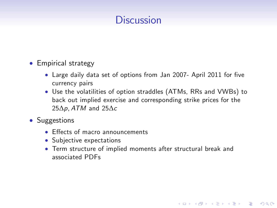### **Discussion**

#### • Empirical strategy

- Large daily data set of options from Jan 2007- April 2011 for five currency pairs
- Use the volatilities of option straddles (ATMs, RRs and VWBs) to back out implied exercise and corresponding strike prices for the  $25\Delta p$ , ATM and  $25\Delta c$
- Suggestions
	- $\bullet$  Effects of macro announcements
	- Subjective expectations
	- Term structure of implied moments after structural break and associated PDFs

**KORKA SERKER ORA**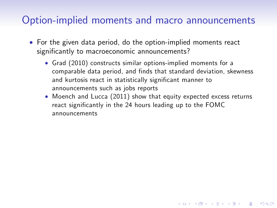#### Option-implied moments and macro announcements

- For the given data period, do the option-implied moments react significantly to macroeconomic announcements?
	- Grad (2010) constructs similar options-implied moments for a comparable data period, and finds that standard deviation, skewness and kurtosis react in statistically significant manner to announcements such as jobs reports
	- Moench and Lucca (2011) show that equity expected excess returns react significantly in the 24 hours leading up to the FOMC announcements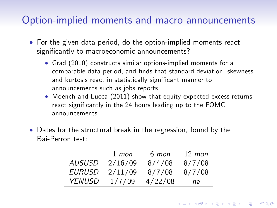#### Option-implied moments and macro announcements

- For the given data period, do the option-implied moments react significantly to macroeconomic announcements?
	- Grad (2010) constructs similar options-implied moments for a comparable data period, and finds that standard deviation, skewness and kurtosis react in statistically significant manner to announcements such as jobs reports
	- Moench and Lucca (2011) show that equity expected excess returns react significantly in the 24 hours leading up to the FOMC announcements
- Dates for the structural break in the regression, found by the Bai-Perron test:

|        | $1$ mon | 6 mon   | $12 \;$ mon |
|--------|---------|---------|-------------|
| AUSUSD | 2/16/09 | 8/4/08  | 8/7/08      |
| EURUSD | 2/11/09 | 8/7/08  | 8/7/08      |
| YFNUSD | 1/7/09  | 4/22/08 | na          |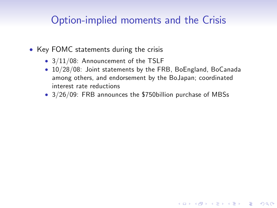#### Option-implied moments and the Crisis

- Key FOMC statements during the crisis
	- 3/11/08: Announcement of the TSLF
	- 10/28/08: Joint statements by the FRB, BoEngland, BoCanada among others, and endorsement by the BoJapan; coordinated interest rate reductions

**KORKA SERKER ORA** 

• 3/26/09: FRB announces the \$750billion purchase of MBSs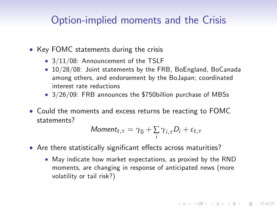#### Option-implied moments and the Crisis

- Key FOMC statements during the crisis
	- 3/11/08: Announcement of the TSLF
	- 10/28/08: Joint statements by the FRB, BoEngland, BoCanada among others, and endorsement by the BoJapan; coordinated interest rate reductions
	- 3/26/09: FRB announces the \$750billion purchase of MBSs
- Could the moments and excess returns be reacting to FOMC statements?

$$
Moment_{t,\tau} = \gamma_0 + \sum_i \gamma_{i,\tau} D_i + \varepsilon_{t,\tau}
$$

- <span id="page-6-0"></span>• Are there statistically significant effects across maturities?
	- May indicate how market expectations, as proxied by the RND moments, are changing in response of anticipated news (more volatility or tail risk?)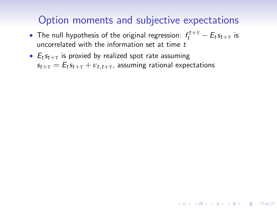### Option moments and subjective expectations

- The null hypothesis of the original regression:  $f_t^{t+\tau} E_t s_{t+\tau}$  is uncorrelated with the information set at time  $t$
- <span id="page-7-0"></span>•  $E_t s_{t+\tau}$  is proxied by realized spot rate assuming  $s_{t+\tau} = E_t s_{t+\tau} + v_{t,t+\tau}$ , assuming rational expectations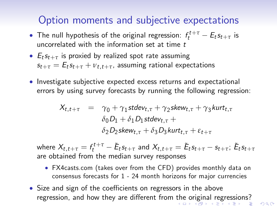### Option moments and subjective expectations

- The null hypothesis of the original regression:  $f_t^{t+\tau} E_t s_{t+\tau}$  is uncorrelated with the information set at time  $t$
- $E_t s_{t+\tau}$  is proxied by realized spot rate assuming  $s_{t+\tau} = E_t s_{t+\tau} + v_{t,t+\tau}$ , assuming rational expectations
- Investigate subjective expected excess returns and expectational errors by using survey forecasts by running the following regression:

$$
X_{t,t+\tau} = \gamma_0 + \gamma_1 stdev_{t,\tau} + \gamma_2 skew_{t,\tau} + \gamma_3 kurt_{t,\tau}
$$
  
\n
$$
\delta_0 D_1 + \delta_1 D_1 stdev_{t,\tau} +
$$
  
\n
$$
\delta_2 D_2 skew_{t,\tau} + \delta_3 D_3 kurt_{t,\tau} + \varepsilon_{t+\tau}
$$

where  $X_{t,t+\tau}=f_t^{t+\tau}-\tilde{E}_ts_{t+\tau}$  and  $X_{t,t+\tau}=\tilde{E}_ts_{t+\tau}-s_{t+\tau}$ ;  $\tilde{E}_ts_{t+\tau}$ are obtained from the median survey responses

- FX4casts.com (takes over from the CFD) provides monthly data on consensus forecasts for 1 - 24 month horizons for major currencies
- <span id="page-8-0"></span>• Size and sign of the coefficients on regressors in the above regression, and how [th](#page-7-0)ey are different from the [o](#page-9-0)[ri](#page-6-0)[g](#page-7-0)[in](#page-8-0)[a](#page-9-0)[l r](#page-0-0)[egr](#page--1-0)[ess](#page-0-0)[io](#page--1-0)[ns](#page-0-0)[?](#page--1-0)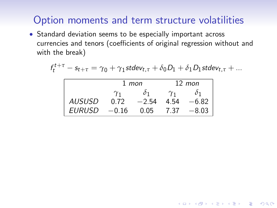## Option moments and term structure volatilities

 Standard deviation seems to be especially important across currencies and tenors (coefficients of original regression without and with the break)

$$
f_t^{t+\tau} - s_{t+\tau} = \gamma_0 + \gamma_1 \mathsf{stdev}_{t,\tau} + \delta_0 D_1 + \delta_1 D_1 \mathsf{stdev}_{t,\tau} + \dots
$$

K ロ ▶ K @ ▶ K 할 > K 할 > 1 할 > 1 이익어

<span id="page-9-0"></span>

|               | 1 mon      |         | $12 \;$ mon |         |
|---------------|------------|---------|-------------|---------|
|               | $\gamma_1$ | Ò1      | $\gamma_1$  |         |
| <b>AUSUSD</b> | 0.72       | $-2.54$ | 4.54        | $-6.82$ |
| EURUSD        | $-0.16$    | 0.05    | 7.37        | $-8.03$ |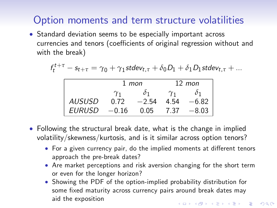# Option moments and term structure volatilities

• Standard deviation seems to be especially important across currencies and tenors (coefficients of original regression without and with the break)

$$
f_t^{t+\tau} - s_{t+\tau} = \gamma_0 + \gamma_1 \mathsf{stdev}_{t,\tau} + \delta_0 D_1 + \delta_1 D_1 \mathsf{stdev}_{t,\tau} + \dots
$$

|               | 1 mon      |         | $12 \;$ mon |         |
|---------------|------------|---------|-------------|---------|
|               | $\gamma_1$ | 01      | $\gamma_1$  |         |
| <i>AUSUSD</i> | 0.72       | $-2.54$ | 4.54        | $-6.82$ |
| <b>EURUSD</b> | $-0.16$    | 0.05    | 7.37        | $-8.03$ |

- Following the structural break date, what is the change in implied volatility/skewness/kurtosis, and is it similar across option tenors?
	- For a given currency pair, do the implied moments at different tenors approach the pre-break dates?
	- Are market perceptions and risk aversion changing for the short term or even for the longer horizon?
	- Showing the PDF of the option-implied probability distribution for some fixed maturity across currency pairs around break dates may aid the exposition**KORKAR KERKER E VOOR**